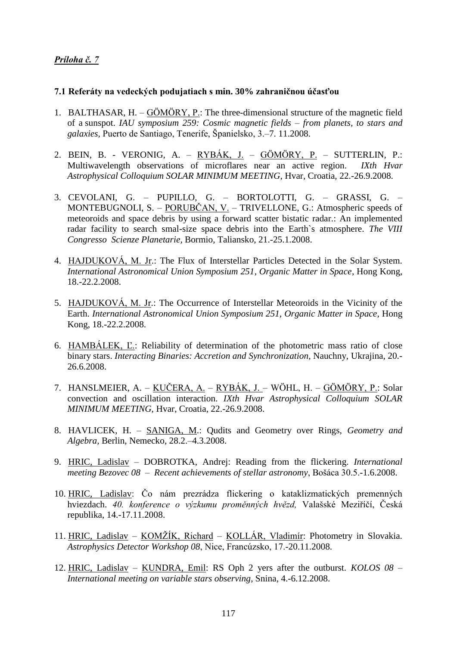## *Príloha č. 7*

## **7.1 Referáty na vedeckých podujatiach s min. 30% zahraničnou účasťou**

- 1. BALTHASAR, H. GÖMÖRY, P.: The three-dimensional structure of the magnetic field of a sunspot. *IAU symposium 259: Cosmic magnetic fields – from planets, to stars and galaxies,* Puerto de Santiago, Tenerife, Španielsko, 3.–7. 11.2008.
- 2. BEIN, B. VERONIG, A. RYBÁK, J. GÖMÖRY, P. SUTTERLIN, P.: Multiwavelength observations of microflares near an active region. *IXth Hvar Astrophysical Colloquium SOLAR MINIMUM MEETING*, Hvar, Croatia, 22.-26.9.2008.
- 3. CEVOLANI, G. PUPILLO, G. BORTOLOTTI, G. GRASSI, G. MONTEBUGNOLI, S. – PORUBČAN, V. – TRIVELLONE, G.: Atmospheric speeds of meteoroids and space debris by using a forward scatter bistatic radar.: An implemented radar facility to search smal-size space debris into the Earth`s atmosphere. *The VIII Congresso Scienze Planetarie,* Bormio, Taliansko, 21.-25.1.2008.
- 4. HAJDUKOVÁ, M. Jr.: The Flux of Interstellar Particles Detected in the Solar System. *International Astronomical Union Symposium 251, Organic Matter in Space*, Hong Kong, 18.-22.2.2008.
- 5. HAJDUKOVÁ, M. Jr.: The Occurrence of Interstellar Meteoroids in the Vicinity of the Earth. *International Astronomical Union Symposium 251, Organic Matter in Space*, Hong Kong, 18.-22.2.2008.
- 6. HAMBÁLEK, Ľ.: Reliability of determination of the photometric mass ratio of close binary stars. *Interacting Binaries: Accretion and Synchronization,* Nauchny, Ukrajina, 20.- 26.6.2008.
- 7. HANSLMEIER, A. KUČERA, A. RYBÁK, J. WÖHL, H. GÖMÖRY, P.: Solar convection and oscillation interaction. *IXth Hvar Astrophysical Colloquium SOLAR MINIMUM MEETING,* Hvar, Croatia, 22.-26.9.2008.
- 8. HAVLICEK, H. SANIGA, M.: Qudits and Geometry over Rings, *Geometry and Algebra,* Berlin, Nemecko, 28.2.–4.3.2008.
- 9. HRIC, Ladislav DOBROTKA, Andrej: Reading from the flickering. *International meeting Bezovec 08* – *Recent achievements of stellar astronomy*, Bošáca 30.5.-1.6.2008.
- 10. HRIC, Ladislav: Čo nám prezrádza flickering o kataklizmatických premenných hviezdach. *40. konference o výzkumu proměnných hvězd,* Valašské Meziříčí, Česká republika, 14.-17.11.2008.
- 11. HRIC, Ladislav KOMŽÍK, Richard KOLLÁR, Vladimír: Photometry in Slovakia. *Astrophysics Detector Workshop 08*, Nice, Francúzsko, 17.-20.11.2008.
- 12. HRIC, Ladislav KUNDRA, Emil: RS Oph 2 yers after the outburst. *KOLOS 08 – International meeting on variable stars observing*, Snina, 4.-6.12.2008.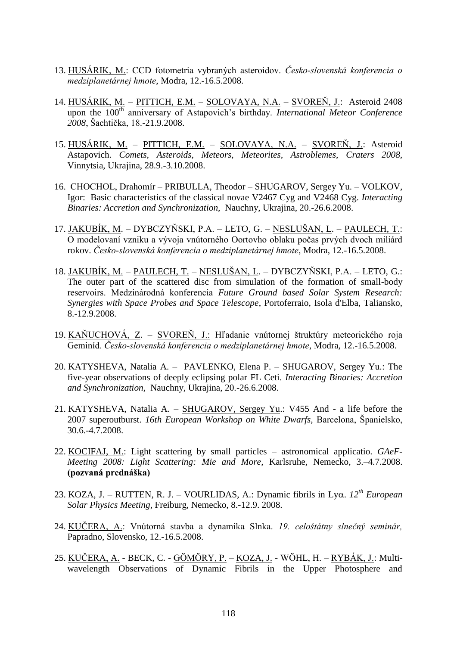- 13. HUSÁRIK, M.: CCD fotometria vybraných asteroidov. *Česko-slovenská konferencia o medziplanetárnej hmote*, Modra, 12.-16.5.2008.
- 14. HUSÁRIK, M. PITTICH, E.M. SOLOVAYA, N.A. SVOREŇ, J.: Asteroid 2408 upon the 100<sup>th</sup> anniversary of Astapovich's birthday. *International Meteor Conference 2008*, Šachtička, 18.-21.9.2008.
- 15. HUSÁRIK, M. PITTICH, E.M. SOLOVAYA, N.A. SVOREŇ, J.: Asteroid Astapovich. *Comets, Asteroids, Meteors, Meteorites, Astroblemes, Craters 2008,*  Vinnytsia, Ukrajina, 28.9.-3.10.2008.
- 16. CHOCHOL, Drahomír PRIBULLA, Theodor SHUGAROV, Sergey Yu. VOLKOV, Igor: Basic characteristics of the classical novae V2467 Cyg and V2468 Cyg. *Interacting Binaries: Accretion and Synchronization,* Nauchny, Ukrajina, 20.-26.6.2008.
- 17. JAKUBÍK, M. DYBCZYŇSKI, P.A. LETO, G. NESLUŠAN, L. PAULECH, T.: O modelovaní vzniku a vývoja vnútorného Oortovho oblaku počas prvých dvoch miliárd rokov. *Česko-slovenská konferencia o medziplanetárnej hmote*, Modra, 12.-16.5.2008.
- 18. JAKUBÍK, M. PAULECH, T. NESLUŠAN, L. DYBCZYŇSKI, P.A. LETO, G.: The outer part of the scattered disc from simulation of the formation of small-body reservoirs. Medzinárodná konferencia *Future Ground based Solar System Research: Synergies with Space Probes and Space Telescope*, Portoferraio, Isola d'Elba, Taliansko, 8.-12.9.2008.
- 19. KAŇUCHOVÁ, Z. SVOREŇ, J.: Hľadanie vnútornej štruktúry meteorického roja Geminíd. *Česko-slovenská konferencia o medziplanetárnej hmote*, Modra, 12.-16.5.2008.
- 20. KATYSHEVA, Natalia A. PAVLENKO, Elena P. SHUGAROV, Sergey Yu.: The five-year observations of deeply eclipsing polar FL Ceti. *Interacting Binaries: Accretion and Synchronization,* Nauchny, Ukrajina, 20.-26.6.2008.
- 21. KATYSHEVA, Natalia A. SHUGAROV, Sergey Yu.: V455 And a life before the 2007 superoutburst. *16th European Workshop on White Dwarfs,* Barcelona, Španielsko, 30.6.-4.7.2008.
- 22. KOCIFAJ, M.: Light scattering by small particles astronomical applicatio. *GAeF-Meeting 2008: Light Scattering: Mie and More,* Karlsruhe, Nemecko, 3.–4.7.2008. **(pozvaná prednáška)**
- 23. KOZA, J. RUTTEN, R. J. VOURLIDAS, A.: Dynamic fibrils in Lyo.  $12^{th}$  *European Solar Physics Meeting*, Freiburg, Nemecko, 8.-12.9. 2008.
- 24. KUČERA, A.: Vnútorná stavba a dynamika Slnka. *19. celoštátny slnečný seminár,* Papradno, Slovensko, 12.-16.5.2008.
- 25. KUČERA, A. BECK, C. GÖMÖRY, P. KOZA, J. WÖHL, H. RYBÁK, J.: Multiwavelength Observations of Dynamic Fibrils in the Upper Photosphere and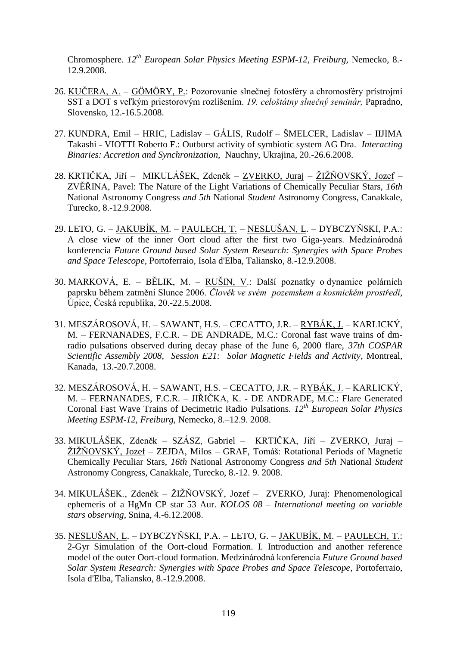Chromosphere. *12th European Solar Physics Meeting ESPM-12, Freiburg,* Nemecko, 8.- 12.9.2008.

- 26. KUČERA, A. GÖMÖRY, P.: Pozorovanie slnečnej fotosféry a chromosféry prístrojmi SST a DOT s veľkým priestorovým rozlíšením. *19. celoštátny slnečný seminár,* Papradno, Slovensko, 12.-16.5.2008.
- 27. KUNDRA, Emil HRIC, Ladislav GÁLIS, Rudolf ŠMELCER, Ladislav IIJIMA Takashi - VIOTTI Roberto F.: Outburst activity of symbiotic system AG Dra. *Interacting Binaries: Accretion and Synchronization,* Nauchny, Ukrajina, 20.-26.6.2008.
- 28. KRTIČKA, Jiří MIKULÁŠEK, Zdeněk ZVERKO, Juraj ŽIŽŇOVSKÝ, Jozef ZVĚŘINA, Pavel: The Nature of the Light Variations of Chemically Peculiar Stars, *16th*  National Astronomy Congress *and 5th* National *Student* Astronomy Congress, Canakkale, Turecko, 8.-12.9.2008.
- 29. LETO, G. JAKUBÍK, M. PAULECH, T. NESLUŠAN, L. DYBCZYŇSKI, P.A.: A close view of the inner Oort cloud after the first two Giga-years. Medzinárodná konferencia *Future Ground based Solar System Research: Synergies with Space Probes and Space Telescope*, Portoferraio, Isola d'Elba, Taliansko, 8.-12.9.2008.
- 30. MARKOVÁ, E. BĚLIK, M. RUŠIN, V.: Další poznatky o dynamice polárních paprsku během zatmění Slunce 2006. *Člověk ve svém pozemskem a kosmickém prostředí*, Úpice, Česká republika, 20.-22.5.2008.
- 31. MESZÁROSOVÁ, H. SAWANT, H.S. CECATTO, J.R. RYBÁK, J. KARLICKÝ, M. – FERNANADES, F.C.R. – DE ANDRADE, M.C.: Coronal fast wave trains of dmradio pulsations observed during decay phase of the June 6, 2000 flare, *37th COSPAR Scientific Assembly 2008, Session E21: Solar Magnetic Fields and Activity*, Montreal, Kanada, 13.-20.7.2008.
- 32. MESZÁROSOVÁ, H. SAWANT, H.S. CECATTO, J.R. RYBÁK, J. KARLICKÝ, M. – FERNANADES, F.C.R. – JIŘIČKA, K. - DE ANDRADE, M.C.: Flare Generated Coronal Fast Wave Trains of Decimetric Radio Pulsations. *12th European Solar Physics Meeting ESPM-12, Freiburg,* Nemecko, 8.–12.9. 2008.
- 33. MIKULÁŠEK, Zdeněk SZÁSZ, Gabriel KRTIČKA, Jiří ZVERKO, Juraj ŽIŽŇOVSKÝ, Jozef – ZEJDA, Milos – GRAF, Tomáš: Rotational Periods of Magnetic Chemically Peculiar Stars, *16th* National Astronomy Congress *and 5th* National *Student*  Astronomy Congress, Canakkale, Turecko, 8.-12. 9. 2008.
- 34. MIKULÁŠEK., Zdeněk ŽIŽŇOVSKÝ, Jozef ZVERKO, Juraj: Phenomenological ephemeris of a HgMn CP star 53 Aur. *KOLOS 08 – International meeting on variable stars observing*, Snina, 4.-6.12.2008.
- 35. NESLUŠAN, L. DYBCZYŇSKI, P.A. LETO, G. JAKUBÍK, M. PAULECH, T.: 2-Gyr Simulation of the Oort-cloud Formation. I. Introduction and another reference model of the outer Oort-cloud formation. Medzinárodná konferencia *Future Ground based Solar System Research: Synergies with Space Probes and Space Telescope*, Portoferraio, Isola d'Elba, Taliansko, 8.-12.9.2008.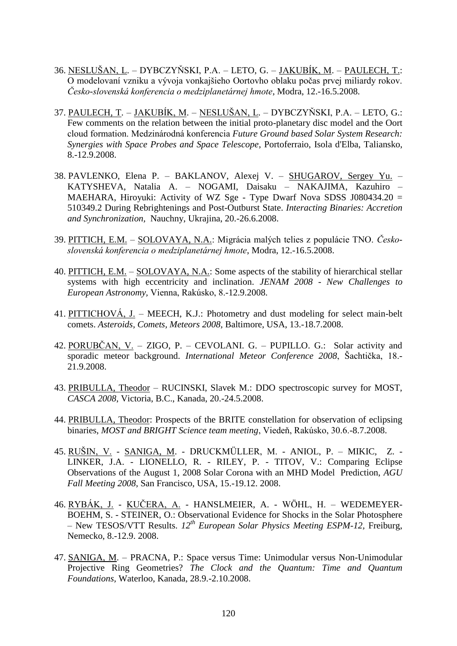- 36. NESLUŠAN, L. DYBCZYŇSKI, P.A. LETO, G. JAKUBÍK, M. PAULECH, T.: O modelovaní vzniku a vývoja vonkajšieho Oortovho oblaku počas prvej miliardy rokov. *Česko-slovenská konferencia o medziplanetárnej hmote*, Modra, 12.-16.5.2008.
- 37. PAULECH, T. JAKUBÍK, M. NESLUŠAN, L. DYBCZYŇSKI, P.A. LETO, G.: Few comments on the relation between the initial proto-planetary disc model and the Oort cloud formation. Medzinárodná konferencia *Future Ground based Solar System Research: Synergies with Space Probes and Space Telescope*, Portoferraio, Isola d'Elba, Taliansko, 8.-12.9.2008.
- 38. PAVLENKO, Elena P. BAKLANOV, Alexej V. SHUGAROV, Sergey Yu. KATYSHEVA, Natalia A. – NOGAMI, Daisaku – NAKAJIMA, Kazuhiro – MAEHARA, Hiroyuki: Activity of WZ Sge - Type Dwarf Nova SDSS J080434.20 = 510349.2 During Rebrightenings and Post-Outburst State. *Interacting Binaries: Accretion and Synchronization,* Nauchny, Ukrajina, 20.-26.6.2008.
- 39. PITTICH, E.M. SOLOVAYA, N.A.: Migrácia malých telies z populácie TNO. *Československá konferencia o medziplanetárnej hmote*, Modra, 12.-16.5.2008.
- 40. PITTICH, E.M. SOLOVAYA, N.A.: Some aspects of the stability of hierarchical stellar systems with high eccentricity and inclination. *JENAM 2008 - New Challenges to European Astronomy,* Vienna, Rakúsko, 8.-12.9.2008.
- 41. PITTICHOVÁ, J. MEECH, K.J.: Photometry and dust modeling for select main-belt comets. *Asteroids, Comets, Meteors 2008,* Baltimore, USA, 13.-18.7.2008.
- 42. PORUBČAN, V. ZIGO, P. CEVOLANI. G. PUPILLO. G.: Solar activity and sporadic meteor background. *International Meteor Conference 2008*, Šachtička, 18.- 21.9.2008.
- 43. PRIBULLA, Theodor RUCINSKI, Slavek M.: DDO spectroscopic survey for MOST, *CASCA 2008*, Victoria, B.C., Kanada, 20.-24.5.2008.
- 44. PRIBULLA, Theodor: Prospects of the BRITE constellation for observation of eclipsing binaries, *MOST and BRIGHT Science team meeting*, Viedeň, Rakúsko, 30.6.-8.7.2008.
- 45. RUŠIN, V. SANIGA, M. DRUCKMÜLLER, M. ANIOL, P. MIKIC, Z. LINKER, J.A. - LIONELLO, R. - RILEY, P. - TITOV, V.: Comparing Eclipse Observations of the August 1, 2008 Solar Corona with an MHD Model Prediction, *AGU Fall Meeting 2008*, San Francisco, USA, 15.-19.12. 2008.
- 46. RYBÁK, J. KUČERA, A. HANSLMEIER, A. WÖHL, H. WEDEMEYER-BOEHM, S. - STEINER, O.: Observational Evidence for Shocks in the Solar Photosphere – New TESOS/VTT Results. *12th European Solar Physics Meeting ESPM-12,* Freiburg, Nemecko, 8.-12.9. 2008.
- 47. SANIGA, M. PRACNA, P.: Space versus Time: Unimodular versus Non-Unimodular Projective Ring Geometries? *The Clock and the Quantum: Time and Quantum Foundations,* Waterloo, Kanada, 28.9.-2.10.2008.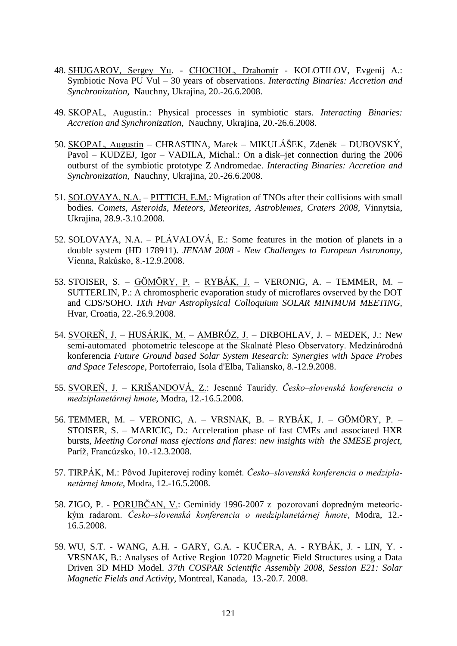- 48. SHUGAROV, Sergey Yu. CHOCHOL, Drahomír KOLOTILOV, Evgenij A.: Symbiotic Nova PU Vul – 30 years of observations. *Interacting Binaries: Accretion and Synchronization,* Nauchny, Ukrajina, 20.-26.6.2008.
- 49. SKOPAL, Augustín.: Physical processes in symbiotic stars. *Interacting Binaries: Accretion and Synchronization,* Nauchny, Ukrajina, 20.-26.6.2008.
- 50. SKOPAL, Augustín CHRASTINA, Marek MIKULÁŠEK, Zdeněk DUBOVSKÝ, Pavol – KUDZEJ, Igor – VADILA, Michal.: On a disk–jet connection during the 2006 outburst of the symbiotic prototype Z Andromedae. *Interacting Binaries: Accretion and Synchronization,* Nauchny, Ukrajina, 20.-26.6.2008.
- 51. SOLOVAYA, N.A. PITTICH, E.M.: Migration of TNOs after their collisions with small bodies. *Comets, Asteroids, Meteors, Meteorites, Astroblemes, Craters 2008,* Vinnytsia, Ukrajina, 28.9.-3.10.2008.
- 52. SOLOVAYA, N.A. PLÁVALOVÁ, E.: Some features in the motion of planets in a double system (HD 178911). *JENAM 2008 - New Challenges to European Astronomy,*  Vienna, Rakúsko, 8.-12.9.2008.
- 53. STOISER, S. GÖMÖRY, P. RYBÁK, J. VERONIG, A. TEMMER, M. SUTTERLIN, P.: A chromospheric evaporation study of microflares ovserved by the DOT and CDS/SOHO. *IXth Hvar Astrophysical Colloquium SOLAR MINIMUM MEETING,*  Hvar, Croatia, 22.-26.9.2008.
- 54. SVOREŇ, J. HUSÁRIK, M. AMBRÓZ, J. DRBOHLAV, J. MEDEK, J.: New semi-automated photometric telescope at the Skalnaté Pleso Observatory. Medzinárodná konferencia *Future Ground based Solar System Research: Synergies with Space Probes and Space Telescope*, Portoferraio, Isola d'Elba, Taliansko, 8.-12.9.2008.
- 55. SVOREŇ, J. KRIŠANDOVÁ, Z.: Jesenné Tauridy. *Česko–slovenská konferencia o medziplanetárnej hmote*, Modra, 12.-16.5.2008.
- 56. TEMMER, M. VERONIG, A. VRSNAK, B. RYBÁK, J. GÖMÖRY, P. STOISER, S. – MARICIC, D.: Acceleration phase of fast CMEs and associated HXR bursts, *Meeting Coronal mass ejections and flares: new insights with the SMESE project,* Paríž, Francúzsko, 10.-12.3.2008.
- 57. TIRPÁK, M.: Pôvod Jupiterovej rodiny komét. *Česko–slovenská konferencia o medziplanetárnej hmote*, Modra, 12.-16.5.2008.
- 58. ZIGO, P. PORUBČAN, V.: Geminidy 1996-2007 z pozorovaní dopredným meteorickým radarom. *Česko–slovenská konferencia o medziplanetárnej hmote*, Modra, 12.- 16.5.2008.
- 59. WU, S.T. WANG, A.H. GARY, G.A. KUČERA, A. RYBÁK, J. LIN, Y. VRSNAK, B.: Analyses of Active Region 10720 Magnetic Field Structures using a Data Driven 3D MHD Model. *37th COSPAR Scientific Assembly 2008, Session E21: Solar Magnetic Fields and Activity*, Montreal, Kanada, 13.-20.7. 2008.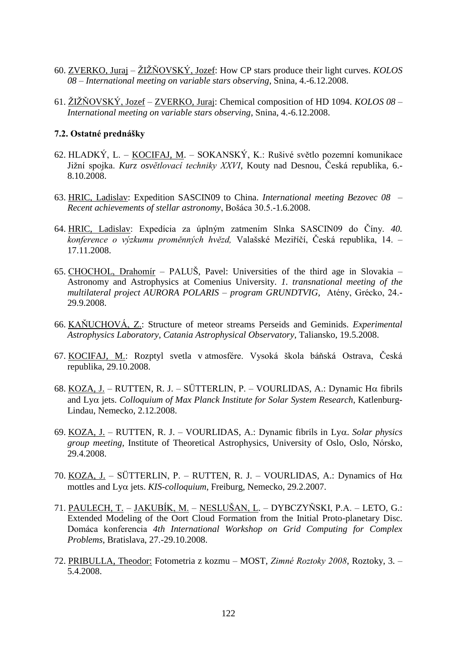- 60. ZVERKO, Juraj ŢIŢŇOVSKÝ, Jozef: How CP stars produce their light curves. *KOLOS 08 – International meeting on variable stars observing*, Snina, 4.-6.12.2008.
- 61. ŢIŢŇOVSKÝ, Jozef ZVERKO, Juraj: Chemical composition of HD 1094. *KOLOS 08 – International meeting on variable stars observing*, Snina, 4.-6.12.2008.

## **7.2. Ostatné prednášky**

- 62. HLADKÝ, L. KOCIFAJ, M. SOKANSKÝ, K.: Rušivé světlo pozemní komunikace Jižní spojka. *Kurz osvětlovací techniky XXVI*, Kouty nad Desnou, Česká republika, 6.-8.10.2008.
- 63. HRIC, Ladislav: Expedition SASCIN09 to China. *International meeting Bezovec 08* – *Recent achievements of stellar astronomy*, Bošáca 30.5.-1.6.2008.
- 64. HRIC, Ladislav: Expedícia za úplným zatmením Slnka SASCIN09 do Číny. *40. konference o výzkumu proměnných hvězd,* Valašské Meziříčí, Česká republika, 14. – 17.11.2008.
- 65. CHOCHOL, Drahomír PALUŠ, Pavel: Universities of the third age in Slovakia Astronomy and Astrophysics at Comenius University. *1. transnational meeting of the multilateral project AURORA POLARIS – program GRUNDTVIG,* Atény, Grécko, 24.- 29.9.2008.
- 66. KAŇUCHOVÁ, Z.: Structure of meteor streams Perseids and Geminids. *Experimental Astrophysics Laboratory, Catania Astrophysical Observatory*, Taliansko, 19.5.2008.
- 67. KOCIFAJ, M.: Rozptyl svetla v atmosfére. Vysoká škola báňská Ostrava, Česká republika, 29.10.2008.
- 68. KOZA, J. RUTTEN, R. J. SÜTTERLIN, P. VOURLIDAS, A.: Dynamic H $\alpha$  fibrils and Ly $\alpha$  jets. *Colloquium of Max Planck Institute for Solar System Research*, Katlenburg-Lindau, Nemecko, 2.12.2008.
- 69. KOZA, J. RUTTEN, R. J. VOURLIDAS, A.: Dynamic fibrils in Lyq. *Solar physics group meeting*, Institute of Theoretical Astrophysics, University of Oslo, Oslo, Nórsko, 29.4.2008.
- 70. KOZA, J. SÜTTERLIN, P. RUTTEN, R. J. VOURLIDAS, A.: Dynamics of H $\alpha$ mottles and Ly $\alpha$  jets. *KIS-colloquium*, Freiburg, Nemecko, 29.2.2007.
- 71. PAULECH, T. JAKUBÍK, M. NESLUŠAN, L. DYBCZYŇSKI, P.A. LETO, G.: Extended Modeling of the Oort Cloud Formation from the Initial Proto-planetary Disc. Domáca konferencia *4th International Workshop on Grid Computing for Complex Problems*, Bratislava, 27.-29.10.2008.
- 72. PRIBULLA, Theodor: Fotometria z kozmu MOST, *Zimné Roztoky 2008*, Roztoky, 3. 5.4.2008.